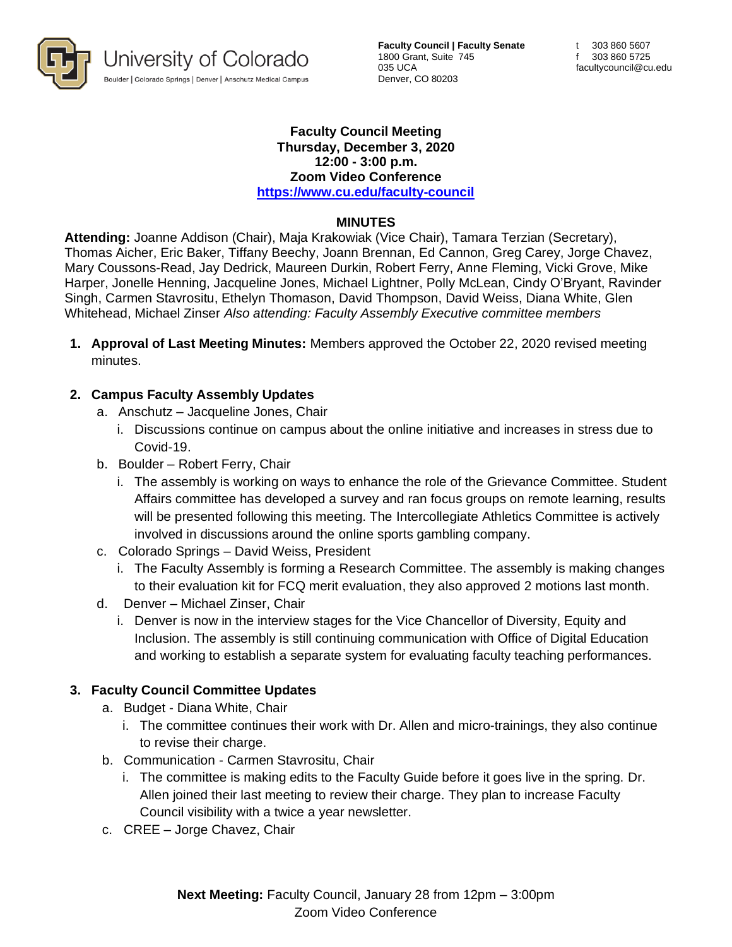

**Faculty Council | Faculty Senate** 1800 Grant, Suite 745 035 UCA Denver, CO 80203

#### **Faculty Council Meeting Thursday, December 3, 2020 12:00 - 3:00 p.m. Zoom Video Conference <https://www.cu.edu/faculty-council>**

### **MINUTES**

**Attending:** Joanne Addison (Chair), Maja Krakowiak (Vice Chair), Tamara Terzian (Secretary), Thomas Aicher, Eric Baker, Tiffany Beechy, Joann Brennan, Ed Cannon, Greg Carey, Jorge Chavez, Mary Coussons-Read, Jay Dedrick, Maureen Durkin, Robert Ferry, Anne Fleming, Vicki Grove, Mike Harper, Jonelle Henning, Jacqueline Jones, Michael Lightner, Polly McLean, Cindy O'Bryant, Ravinder Singh, Carmen Stavrositu, Ethelyn Thomason, David Thompson, David Weiss, Diana White, Glen Whitehead, Michael Zinser *Also attending: Faculty Assembly Executive committee members*

**1. Approval of Last Meeting Minutes:** Members approved the October 22, 2020 revised meeting minutes.

### **2. Campus Faculty Assembly Updates**

- a. Anschutz Jacqueline Jones, Chair
	- i. Discussions continue on campus about the online initiative and increases in stress due to Covid-19.
- b. Boulder Robert Ferry, Chair
	- i. The assembly is working on ways to enhance the role of the Grievance Committee. Student Affairs committee has developed a survey and ran focus groups on remote learning, results will be presented following this meeting. The Intercollegiate Athletics Committee is actively involved in discussions around the online sports gambling company.
- c. Colorado Springs David Weiss, President
	- i. The Faculty Assembly is forming a Research Committee. The assembly is making changes to their evaluation kit for FCQ merit evaluation, they also approved 2 motions last month.
- d. Denver Michael Zinser, Chair
	- i. Denver is now in the interview stages for the Vice Chancellor of Diversity, Equity and Inclusion. The assembly is still continuing communication with Office of Digital Education and working to establish a separate system for evaluating faculty teaching performances.

### **3. Faculty Council Committee Updates**

- a. Budget Diana White, Chair
	- i. The committee continues their work with Dr. Allen and micro-trainings, they also continue to revise their charge.
- b. Communication Carmen Stavrositu, Chair
	- i. The committee is making edits to the Faculty Guide before it goes live in the spring. Dr. Allen joined their last meeting to review their charge. They plan to increase Faculty Council visibility with a twice a year newsletter.
- c. CREE Jorge Chavez, Chair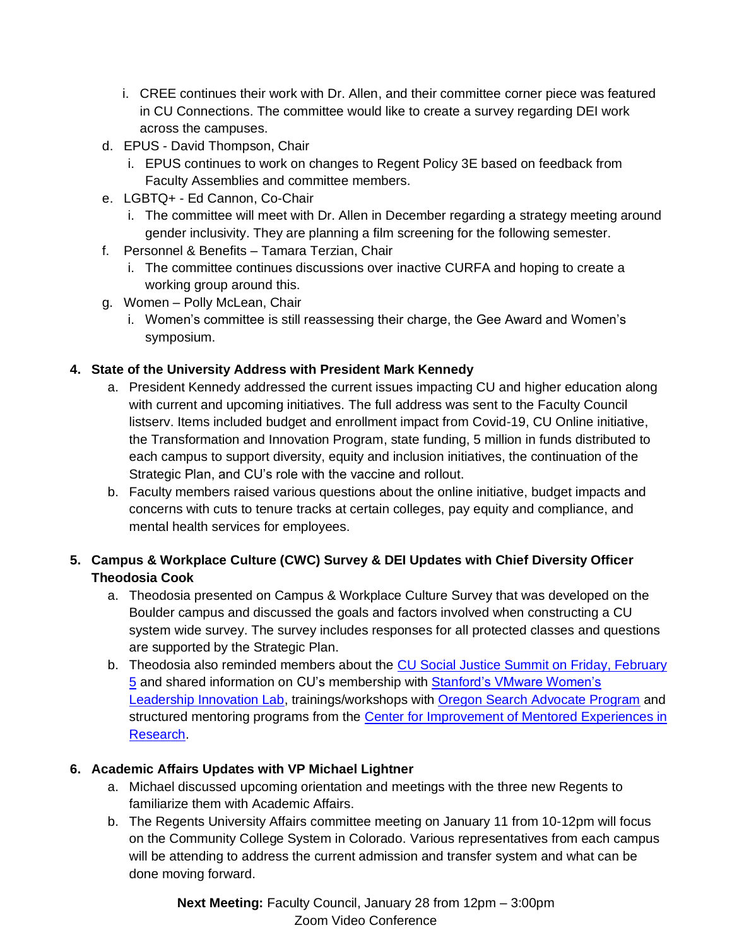- i. CREE continues their work with Dr. Allen, and their committee corner piece was featured in CU Connections. The committee would like to create a survey regarding DEI work across the campuses.
- d. EPUS David Thompson, Chair
	- i. EPUS continues to work on changes to Regent Policy 3E based on feedback from Faculty Assemblies and committee members.
- e. LGBTQ+ Ed Cannon, Co-Chair
	- i. The committee will meet with Dr. Allen in December regarding a strategy meeting around gender inclusivity. They are planning a film screening for the following semester.
- f. Personnel & Benefits Tamara Terzian, Chair
	- i. The committee continues discussions over inactive CURFA and hoping to create a working group around this.
- g. Women Polly McLean, Chair
	- i. Women's committee is still reassessing their charge, the Gee Award and Women's symposium.

## **4. State of the University Address with President Mark Kennedy**

- a. President Kennedy addressed the current issues impacting CU and higher education along with current and upcoming initiatives. The full address was sent to the Faculty Council listserv. Items included budget and enrollment impact from Covid-19, CU Online initiative, the Transformation and Innovation Program, state funding, 5 million in funds distributed to each campus to support diversity, equity and inclusion initiatives, the continuation of the Strategic Plan, and CU's role with the vaccine and rollout.
- b. Faculty members raised various questions about the online initiative, budget impacts and concerns with cuts to tenure tracks at certain colleges, pay equity and compliance, and mental health services for employees.

# **5. Campus & Workplace Culture (CWC) Survey & DEI Updates with Chief Diversity Officer Theodosia Cook**

- a. Theodosia presented on Campus & Workplace Culture Survey that was developed on the Boulder campus and discussed the goals and factors involved when constructing a CU system wide survey. The survey includes responses for all protected classes and questions are supported by the Strategic Plan.
- b. Theodosia also reminded members about the CU Social Justice Summit on Friday, February [5](https://connections.cu.edu/stories/cu-social-justice-summit-set-feb-5) and shared information on CU's membership with Stanford's VMware Women's [Leadership Innovation Lab,](https://womensleadership.stanford.edu/corporate/members) trainings/workshops with [Oregon Search Advocate Program](https://searchadvocate.oregonstate.edu/) and structured mentoring programs from the Center for Improvement of Mentored Experiences in [Research.](https://cimerproject.org/)

# **6. Academic Affairs Updates with VP Michael Lightner**

- a. Michael discussed upcoming orientation and meetings with the three new Regents to familiarize them with Academic Affairs.
- b. The Regents University Affairs committee meeting on January 11 from 10-12pm will focus on the Community College System in Colorado. Various representatives from each campus will be attending to address the current admission and transfer system and what can be done moving forward.